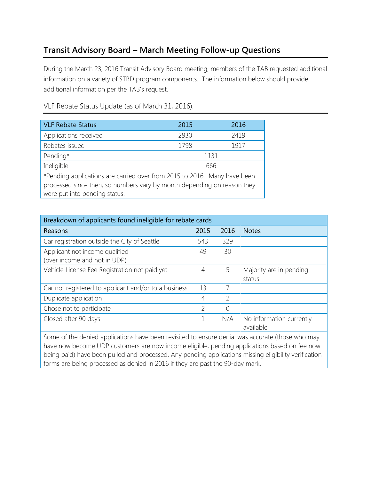## Transit Advisory Board – March Meeting Follow-up Questions

During the March 23, 2016 Transit Advisory Board meeting, members of the TAB requested additional information on a variety of STBD program components. The information below should provide additional information per the TAB's request.

VLF Rebate Status 2015 2016 Applications received 2930 2419 Rebates issued 1798 1917 Pending\* 1131 Ineligible 666 \*Pending applications are carried over from 2015 to 2016. Many have been processed since then, so numbers vary by month depending on reason they were put into pending status.

Breakdown of applicants found ineligible for rebate cards Reasons 2015 2016 Notes Car registration outside the City of Seattle 543 329 Applicant not income qualified (over income and not in UDP) 49 30 Vehicle License Fee Registration not paid yet 4 5 Majority are in pending status Car not registered to applicant and/or to a business 13 7 Duplicate application and the set of the set of the set of the set of the set of the set of the set of the set of the set of the set of the set of the set of the set of the set of the set of the set of the set of the set o Chose not to participate and the set of the choice of the choice of the choice of the choice of the choice of the choice of the choice of the choice of the choice of the choice of the choice of the choice of the choice of Closed after 90 days Theorem 2008 and 2008 after 90 days available Some of the denied applications have been revisited to ensure denial was accurate (those who may

have now become UDP customers are now income eligible; pending applications based on fee now being paid) have been pulled and processed. Any pending applications missing eligibility verification forms are being processed as denied in 2016 if they are past the 90-day mark.

VLF Rebate Status Update (as of March 31, 2016):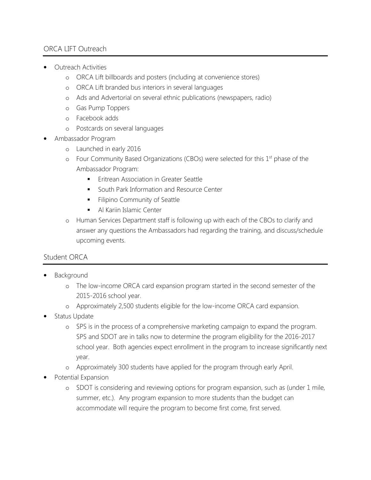## ORCA LIFT Outreach

- Outreach Activities
	- o ORCA Lift billboards and posters (including at convenience stores)
	- o ORCA Lift branded bus interiors in several languages
	- o Ads and Advertorial on several ethnic publications (newspapers, radio)
	- o Gas Pump Toppers
	- o Facebook adds
	- o Postcards on several languages
- Ambassador Program
	- o Launched in early 2016
	- $\circ$  Four Community Based Organizations (CBOs) were selected for this 1<sup>st</sup> phase of the Ambassador Program:
		- **Eritrean Association in Greater Seattle**
		- **South Park Information and Resource Center**
		- Filipino Community of Seattle
		- Al Kariin Islamic Center
	- o Human Services Department staff is following up with each of the CBOs to clarify and answer any questions the Ambassadors had regarding the training, and discuss/schedule upcoming events.

## Student ORCA

- **Background** 
	- o The low-income ORCA card expansion program started in the second semester of the 2015-2016 school year.
	- o Approximately 2,500 students eligible for the low-income ORCA card expansion.
- Status Update
	- o SPS is in the process of a comprehensive marketing campaign to expand the program. SPS and SDOT are in talks now to determine the program eligibility for the 2016-2017 school year. Both agencies expect enrollment in the program to increase significantly next year.
	- o Approximately 300 students have applied for the program through early April.
- Potential Expansion
	- o SDOT is considering and reviewing options for program expansion, such as (under 1 mile, summer, etc.). Any program expansion to more students than the budget can accommodate will require the program to become first come, first served.